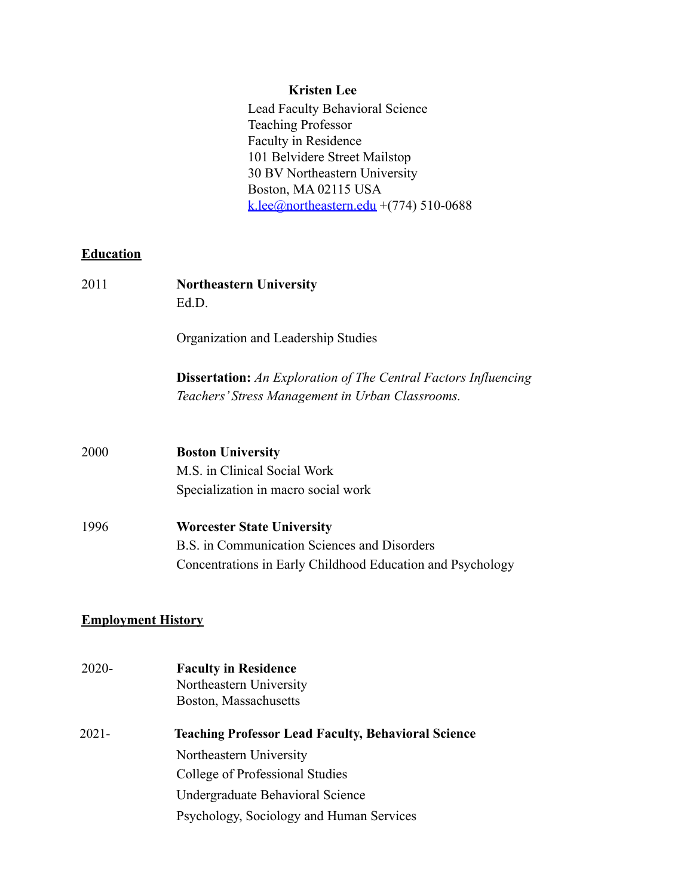#### **Kristen Lee**

Lead Faculty Behavioral Science Teaching Professor Faculty in Residence 101 Belvidere Street Mailstop 30 BV Northeastern University Boston, MA 02115 USA k.lee@northeastern.edu +(774) 510-0688

# **Education**

| 2011 | <b>Northeastern University</b><br>Ed.D.                                                                                    |  |
|------|----------------------------------------------------------------------------------------------------------------------------|--|
|      | Organization and Leadership Studies                                                                                        |  |
|      | <b>Dissertation:</b> An Exploration of The Central Factors Influencing<br>Teachers' Stress Management in Urban Classrooms. |  |
|      |                                                                                                                            |  |
| 2000 | <b>Boston University</b>                                                                                                   |  |
|      | M.S. in Clinical Social Work                                                                                               |  |
|      | Specialization in macro social work                                                                                        |  |
| 1996 | <b>Worcester State University</b>                                                                                          |  |
|      | B.S. in Communication Sciences and Disorders                                                                               |  |
|      | Concentrations in Early Childhood Education and Psychology                                                                 |  |
|      |                                                                                                                            |  |
|      |                                                                                                                            |  |

# **Employment History**

| $2020 -$ | <b>Faculty in Residence</b><br>Northeastern University<br>Boston, Massachusetts |
|----------|---------------------------------------------------------------------------------|
| 2021-    | <b>Teaching Professor Lead Faculty, Behavioral Science</b>                      |
|          | Northeastern University                                                         |
|          | College of Professional Studies                                                 |
|          | Undergraduate Behavioral Science                                                |
|          | Psychology, Sociology and Human Services                                        |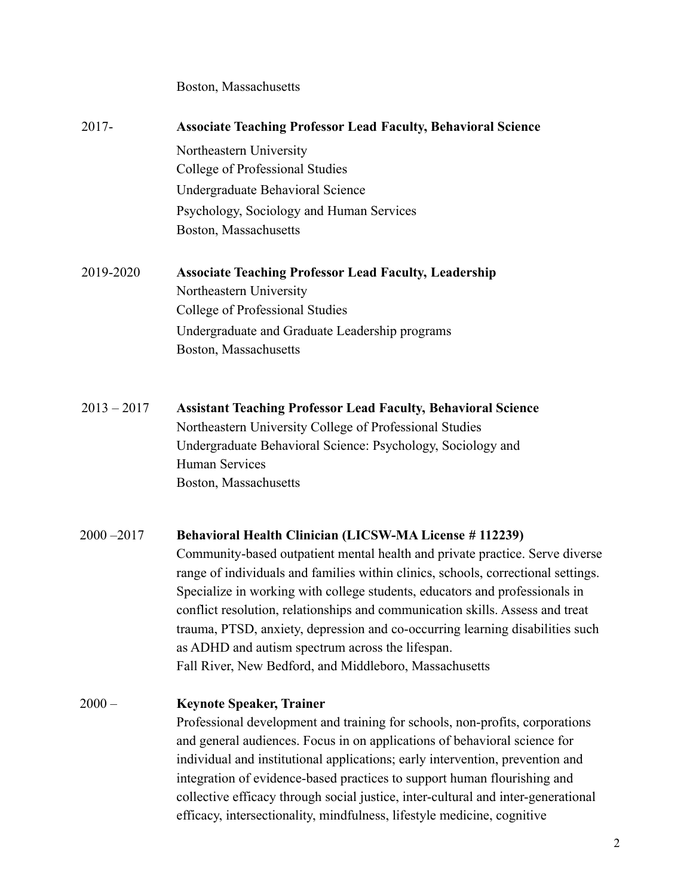| 2017-         | <b>Associate Teaching Professor Lead Faculty, Behavioral Science</b>              |
|---------------|-----------------------------------------------------------------------------------|
|               | Northeastern University                                                           |
|               | College of Professional Studies                                                   |
|               | Undergraduate Behavioral Science                                                  |
|               | Psychology, Sociology and Human Services                                          |
|               | Boston, Massachusetts                                                             |
| 2019-2020     | <b>Associate Teaching Professor Lead Faculty, Leadership</b>                      |
|               | Northeastern University                                                           |
|               | College of Professional Studies                                                   |
|               | Undergraduate and Graduate Leadership programs                                    |
|               | Boston, Massachusetts                                                             |
| $2013 - 2017$ | <b>Assistant Teaching Professor Lead Faculty, Behavioral Science</b>              |
|               | Northeastern University College of Professional Studies                           |
|               | Undergraduate Behavioral Science: Psychology, Sociology and                       |
|               | Human Services                                                                    |
|               | Boston, Massachusetts                                                             |
| $2000 - 2017$ | Behavioral Health Clinician (LICSW-MA License # 112239)                           |
|               | Community-based outpatient mental health and private practice. Serve diverse      |
|               | range of individuals and families within clinics, schools, correctional settings. |
|               | Specialize in working with college students, educators and professionals in       |
|               | conflict resolution, relationships and communication skills. Assess and treat     |
|               | trauma, PTSD, anxiety, depression and co-occurring learning disabilities such     |
|               | as ADHD and autism spectrum across the lifespan.                                  |
|               | Fall River, New Bedford, and Middleboro, Massachusetts                            |
| $2000 -$      | <b>Keynote Speaker, Trainer</b>                                                   |
|               | Professional development and training for schools, non-profits, corporations      |
|               |                                                                                   |

and general audiences. Focus in on applications of behavioral science for individual and institutional applications; early intervention, prevention and integration of evidence-based practices to support human flourishing and collective efficacy through social justice, inter-cultural and inter-generational efficacy, intersectionality, mindfulness, lifestyle medicine, cognitive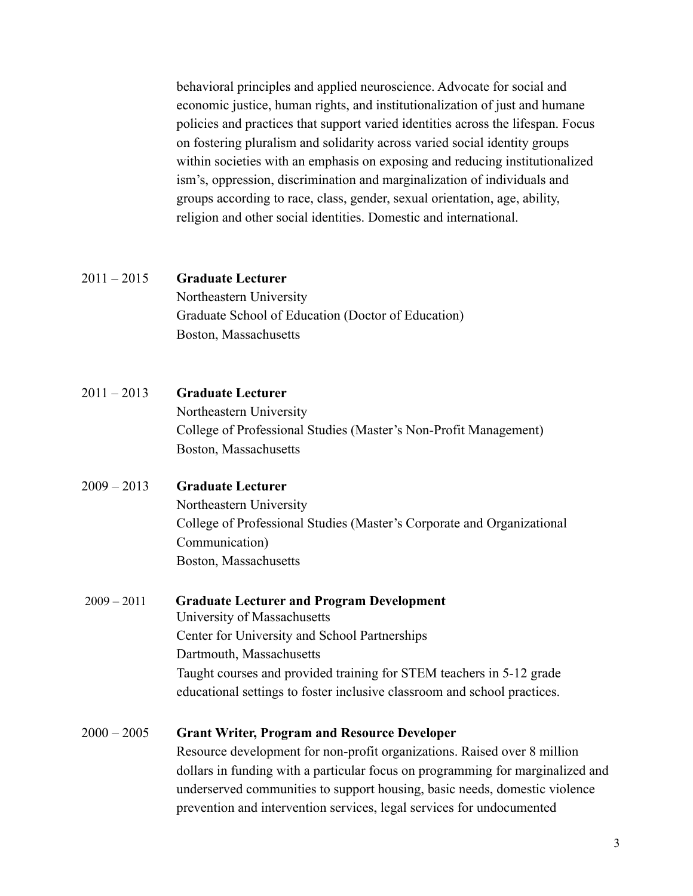behavioral principles and applied neuroscience. Advocate for social and economic justice, human rights, and institutionalization of just and humane policies and practices that support varied identities across the lifespan. Focus on fostering pluralism and solidarity across varied social identity groups within societies with an emphasis on exposing and reducing institutionalized ism's, oppression, discrimination and marginalization of individuals and groups according to race, class, gender, sexual orientation, age, ability, religion and other social identities. Domestic and international.

#### 2011 – 2015 **Graduate Lecturer**

Northeastern University Graduate School of Education (Doctor of Education) Boston, Massachusetts

- 2011 2013 **Graduate Lecturer** Northeastern University College of Professional Studies (Master's Non-Profit Management) Boston, Massachusetts
- 2009 2013 **Graduate Lecturer**

Northeastern University College of Professional Studies (Master's Corporate and Organizational Communication) Boston, Massachusetts

2009 – 2011 **Graduate Lecturer and Program Development** University of Massachusetts Center for University and School Partnerships Dartmouth, Massachusetts Taught courses and provided training for STEM teachers in 5-12 grade educational settings to foster inclusive classroom and school practices.

# 2000 – 2005 **Grant Writer, Program and Resource Developer**

Resource development for non-profit organizations. Raised over 8 million dollars in funding with a particular focus on programming for marginalized and underserved communities to support housing, basic needs, domestic violence prevention and intervention services, legal services for undocumented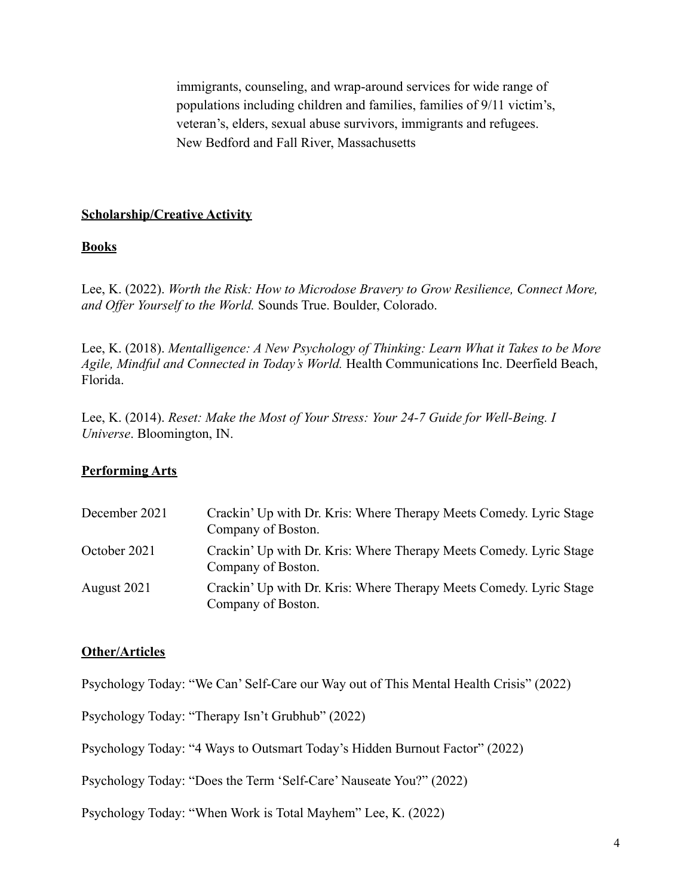immigrants, counseling, and wrap-around services for wide range of populations including children and families, families of 9/11 victim's, veteran's, elders, sexual abuse survivors, immigrants and refugees. New Bedford and Fall River, Massachusetts

#### **Scholarship/Creative Activity**

#### **Books**

Lee, K. (2022). *Worth the Risk: How to Microdose Bravery to Grow Resilience, Connect More, and Offer Yourself to the World.* Sounds True. Boulder, Colorado.

Lee, K. (2018). *Mentalligence: A New Psychology of Thinking: Learn What it Takes to be More Agile, Mindful and Connected in Today's World.* Health Communications Inc. Deerfield Beach, Florida.

Lee, K. (2014). *Reset: Make the Most of Your Stress: Your 24-7 Guide for Well-Being. I Universe*. Bloomington, IN.

#### **Performing Arts**

| December 2021 | Crackin' Up with Dr. Kris: Where Therapy Meets Comedy. Lyric Stage<br>Company of Boston. |
|---------------|------------------------------------------------------------------------------------------|
| October 2021  | Crackin' Up with Dr. Kris: Where Therapy Meets Comedy. Lyric Stage<br>Company of Boston. |
| August 2021   | Crackin' Up with Dr. Kris: Where Therapy Meets Comedy. Lyric Stage<br>Company of Boston. |

#### **Other/Articles**

Psychology Today: "We Can' Self-Care our Way out of This Mental Health Crisis" (2022)

Psychology Today: "Therapy Isn't Grubhub" (2022)

Psychology Today: "4 Ways to Outsmart Today's Hidden Burnout Factor" (2022)

Psychology Today: "Does the Term 'Self-Care' Nauseate You?" (2022)

Psychology Today: "When Work is Total Mayhem" Lee, K. (2022)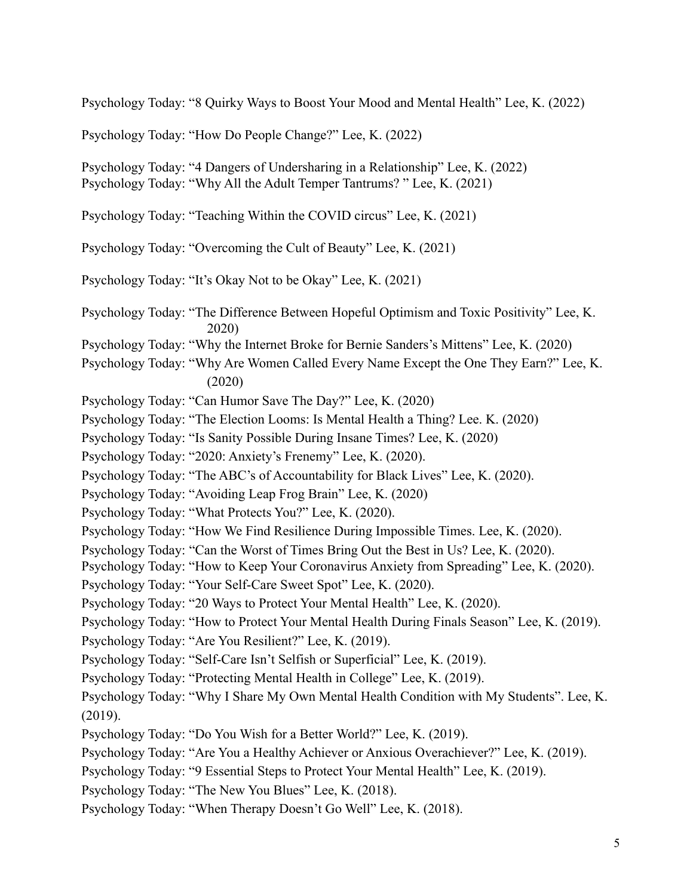Psychology Today: "8 Quirky Ways to Boost Your Mood and Mental Health" Lee, K. (2022)

Psychology Today: "How Do People Change?" Lee, K. (2022)

Psychology Today: "4 Dangers of Undersharing in a Relationship" Lee, K. (2022) Psychology Today: "Why All the Adult Temper Tantrums? " Lee, K. (2021)

Psychology Today: "Teaching Within the COVID circus" Lee, K. (2021)

Psychology Today: "Overcoming the Cult of Beauty" Lee, K. (2021)

Psychology Today: "It's Okay Not to be Okay" Lee, K. (2021)

Psychology Today: "The Difference Between Hopeful Optimism and Toxic Positivity" Lee, K. 2020)

- Psychology Today: "Why the Internet Broke for Bernie Sanders's Mittens" Lee, K. (2020)
- Psychology Today: "Why Are Women Called Every Name Except the One They Earn?" Lee, K. (2020)

Psychology Today: "Can Humor Save The Day?" Lee, K. (2020)

Psychology Today: "The Election Looms: Is Mental Health a Thing? Lee. K. (2020)

Psychology Today: "Is Sanity Possible During Insane Times? Lee, K. (2020)

Psychology Today: "2020: Anxiety's Frenemy" Lee, K. (2020).

Psychology Today: "The ABC's of Accountability for Black Lives" Lee, K. (2020).

Psychology Today: "Avoiding Leap Frog Brain" Lee, K. (2020)

- Psychology Today: "What Protects You?" Lee, K. (2020).
- Psychology Today: "How We Find Resilience During Impossible Times. Lee, K. (2020).
- Psychology Today: "Can the Worst of Times Bring Out the Best in Us? Lee, K. (2020).
- Psychology Today: "How to Keep Your Coronavirus Anxiety from Spreading" Lee, K. (2020).

Psychology Today: "Your Self-Care Sweet Spot" Lee, K. (2020).

Psychology Today: "20 Ways to Protect Your Mental Health" Lee, K. (2020).

Psychology Today: "How to Protect Your Mental Health During Finals Season" Lee, K. (2019).

Psychology Today: "Are You Resilient?" Lee, K. (2019).

Psychology Today: "Self-Care Isn't Selfish or Superficial" Lee, K. (2019).

Psychology Today: "Protecting Mental Health in College" Lee, K. (2019).

Psychology Today: "Why I Share My Own Mental Health Condition with My Students". Lee, K. (2019).

Psychology Today: "Do You Wish for a Better World?" Lee, K. (2019).

Psychology Today: "Are You a Healthy Achiever or Anxious Overachiever?" Lee, K. (2019).

Psychology Today: "9 Essential Steps to Protect Your Mental Health" Lee, K. (2019).

Psychology Today: "The New You Blues" Lee, K. (2018).

Psychology Today: "When Therapy Doesn't Go Well" Lee, K. (2018).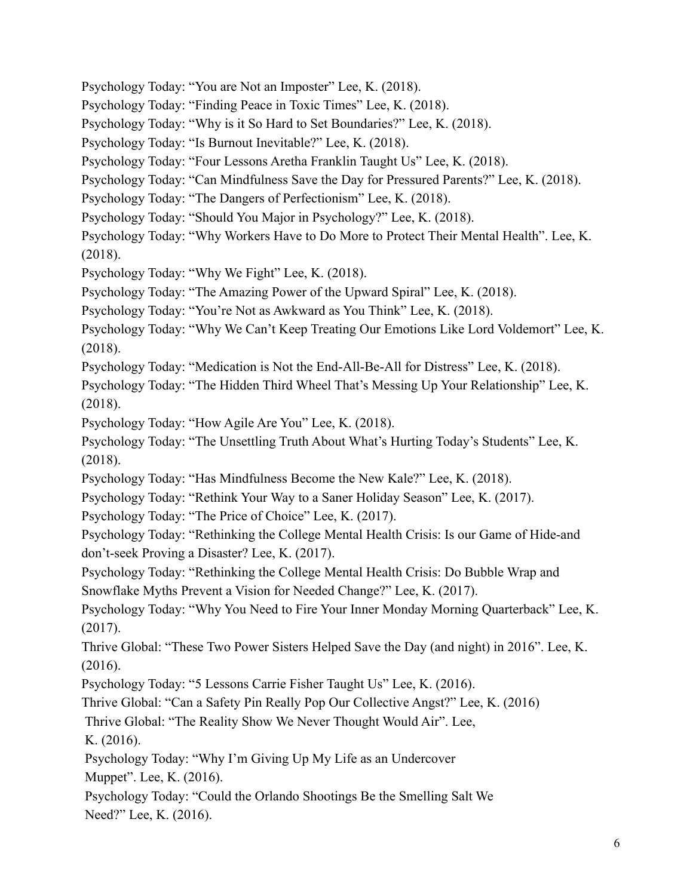Psychology Today: "You are Not an Imposter" Lee, K. (2018).

Psychology Today: "Finding Peace in Toxic Times" Lee, K. (2018).

Psychology Today: "Why is it So Hard to Set Boundaries?" Lee, K. (2018).

Psychology Today: "Is Burnout Inevitable?" Lee, K. (2018).

Psychology Today: "Four Lessons Aretha Franklin Taught Us" Lee, K. (2018).

Psychology Today: "Can Mindfulness Save the Day for Pressured Parents?" Lee, K. (2018).

Psychology Today: "The Dangers of Perfectionism" Lee, K. (2018).

Psychology Today: "Should You Major in Psychology?" Lee, K. (2018).

Psychology Today: "Why Workers Have to Do More to Protect Their Mental Health". Lee, K. (2018).

Psychology Today: "Why We Fight" Lee, K. (2018).

Psychology Today: "The Amazing Power of the Upward Spiral" Lee, K. (2018).

Psychology Today: "You're Not as Awkward as You Think" Lee, K. (2018).

Psychology Today: "Why We Can't Keep Treating Our Emotions Like Lord Voldemort" Lee, K. (2018).

Psychology Today: "Medication is Not the End-All-Be-All for Distress" Lee, K. (2018).

Psychology Today: "The Hidden Third Wheel That's Messing Up Your Relationship" Lee, K. (2018).

Psychology Today: "How Agile Are You" Lee, K. (2018).

Psychology Today: "The Unsettling Truth About What's Hurting Today's Students" Lee, K. (2018).

Psychology Today: "Has Mindfulness Become the New Kale?" Lee, K. (2018).

Psychology Today: "Rethink Your Way to a Saner Holiday Season" Lee, K. (2017).

Psychology Today: "The Price of Choice" Lee, K. (2017).

Psychology Today: "Rethinking the College Mental Health Crisis: Is our Game of Hide-and don't-seek Proving a Disaster? Lee, K. (2017).

Psychology Today: "Rethinking the College Mental Health Crisis: Do Bubble Wrap and Snowflake Myths Prevent a Vision for Needed Change?" Lee, K. (2017).

Psychology Today: "Why You Need to Fire Your Inner Monday Morning Quarterback" Lee, K. (2017).

Thrive Global: "These Two Power Sisters Helped Save the Day (and night) in 2016". Lee, K. (2016).

Psychology Today: "5 Lessons Carrie Fisher Taught Us" Lee, K. (2016).

Thrive Global: "Can a Safety Pin Really Pop Our Collective Angst?" Lee, K. (2016)

Thrive Global: "The Reality Show We Never Thought Would Air". Lee,

K. (2016).

Psychology Today: "Why I'm Giving Up My Life as an Undercover

Muppet". Lee, K. (2016).

Psychology Today: "Could the Orlando Shootings Be the Smelling Salt We Need?" Lee, K. (2016).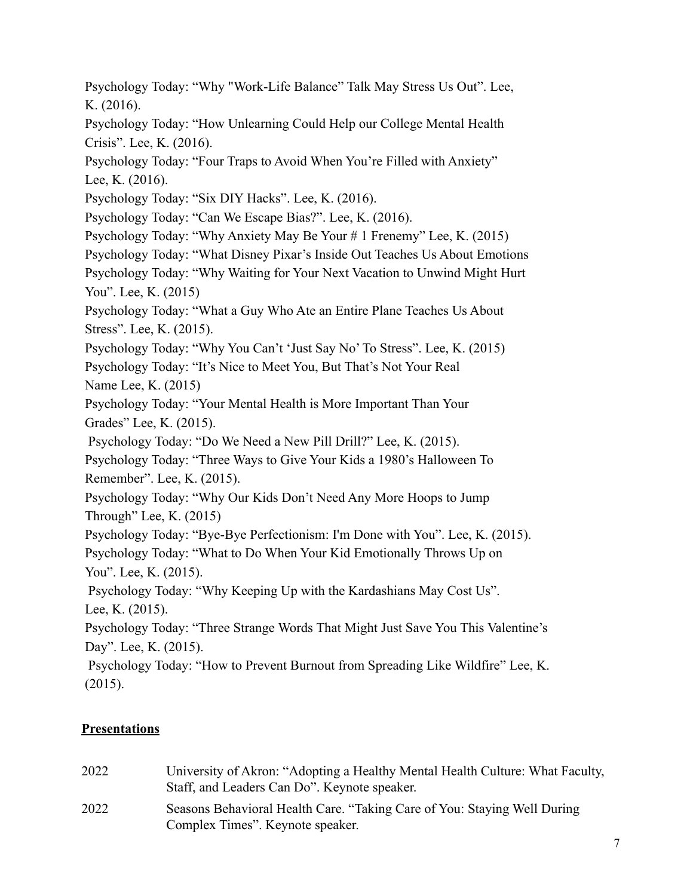Psychology Today: "Why "Work-Life Balance" Talk May Stress Us Out". Lee, K. (2016).

Psychology Today: "How Unlearning Could Help our College Mental Health Crisis". Lee, K. (2016).

Psychology Today: "Four Traps to Avoid When You're Filled with Anxiety" Lee, K. (2016).

Psychology Today: "Six DIY Hacks". Lee, K. (2016).

Psychology Today: "Can We Escape Bias?". Lee, K. (2016).

Psychology Today: "Why Anxiety May Be Your # 1 Frenemy" Lee, K. (2015)

Psychology Today: "What Disney Pixar's Inside Out Teaches Us About Emotions

Psychology Today: "Why Waiting for Your Next Vacation to Unwind Might Hurt You". Lee, K. (2015)

Psychology Today: "What a Guy Who Ate an Entire Plane Teaches Us About Stress". Lee, K. (2015).

Psychology Today: "Why You Can't 'Just Say No' To Stress". Lee, K. (2015)

Psychology Today: "It's Nice to Meet You, But That's Not Your Real Name Lee, K. (2015)

Psychology Today: "Your Mental Health is More Important Than Your Grades" Lee, K. (2015).

Psychology Today: "Do We Need a New Pill Drill?" Lee, K. (2015).

Psychology Today: "Three Ways to Give Your Kids a 1980's Halloween To Remember". Lee, K. (2015).

Psychology Today: "Why Our Kids Don't Need Any More Hoops to Jump Through" Lee, K.  $(2015)$ 

Psychology Today: "Bye-Bye Perfectionism: I'm Done with You". Lee, K. (2015).

Psychology Today: "What to Do When Your Kid Emotionally Throws Up on You". Lee, K. (2015).

Psychology Today: "Why Keeping Up with the Kardashians May Cost Us". Lee, K. (2015).

Psychology Today: "Three Strange Words That Might Just Save You This Valentine's Day". Lee, K. (2015).

Psychology Today: "How to Prevent Burnout from Spreading Like Wildfire" Lee, K. (2015).

# **Presentations**

2022 University of Akron: "Adopting a Healthy Mental Health Culture: What Faculty, Staff, and Leaders Can Do". Keynote speaker. 2022 Seasons Behavioral Health Care. "Taking Care of You: Staying Well During Complex Times". Keynote speaker.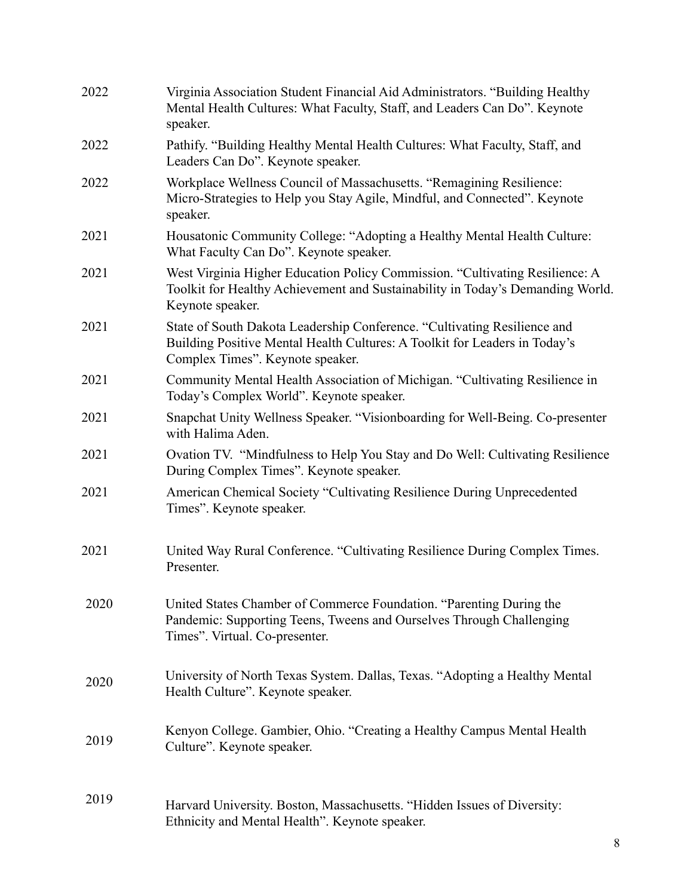| 2022 | Virginia Association Student Financial Aid Administrators. "Building Healthy<br>Mental Health Cultures: What Faculty, Staff, and Leaders Can Do". Keynote<br>speaker.                      |
|------|--------------------------------------------------------------------------------------------------------------------------------------------------------------------------------------------|
| 2022 | Pathify. "Building Healthy Mental Health Cultures: What Faculty, Staff, and<br>Leaders Can Do". Keynote speaker.                                                                           |
| 2022 | Workplace Wellness Council of Massachusetts. "Remagining Resilience:<br>Micro-Strategies to Help you Stay Agile, Mindful, and Connected". Keynote<br>speaker.                              |
| 2021 | Housatonic Community College: "Adopting a Healthy Mental Health Culture:<br>What Faculty Can Do". Keynote speaker.                                                                         |
| 2021 | West Virginia Higher Education Policy Commission. "Cultivating Resilience: A<br>Toolkit for Healthy Achievement and Sustainability in Today's Demanding World.<br>Keynote speaker.         |
| 2021 | State of South Dakota Leadership Conference. "Cultivating Resilience and<br>Building Positive Mental Health Cultures: A Toolkit for Leaders in Today's<br>Complex Times". Keynote speaker. |
| 2021 | Community Mental Health Association of Michigan. "Cultivating Resilience in<br>Today's Complex World". Keynote speaker.                                                                    |
| 2021 | Snapchat Unity Wellness Speaker. "Visionboarding for Well-Being. Co-presenter<br>with Halima Aden.                                                                                         |
| 2021 | Ovation TV. "Mindfulness to Help You Stay and Do Well: Cultivating Resilience<br>During Complex Times". Keynote speaker.                                                                   |
| 2021 | American Chemical Society "Cultivating Resilience During Unprecedented<br>Times". Keynote speaker.                                                                                         |
| 2021 | United Way Rural Conference. "Cultivating Resilience During Complex Times.<br>Presenter.                                                                                                   |
| 2020 | United States Chamber of Commerce Foundation. "Parenting During the<br>Pandemic: Supporting Teens, Tweens and Ourselves Through Challenging<br>Times". Virtual. Co-presenter.              |
| 2020 | University of North Texas System. Dallas, Texas. "Adopting a Healthy Mental<br>Health Culture". Keynote speaker.                                                                           |
| 2019 | Kenyon College. Gambier, Ohio. "Creating a Healthy Campus Mental Health<br>Culture". Keynote speaker.                                                                                      |
| 2019 | Harvard University. Boston, Massachusetts. "Hidden Issues of Diversity:<br>Ethnicity and Mental Health". Keynote speaker.                                                                  |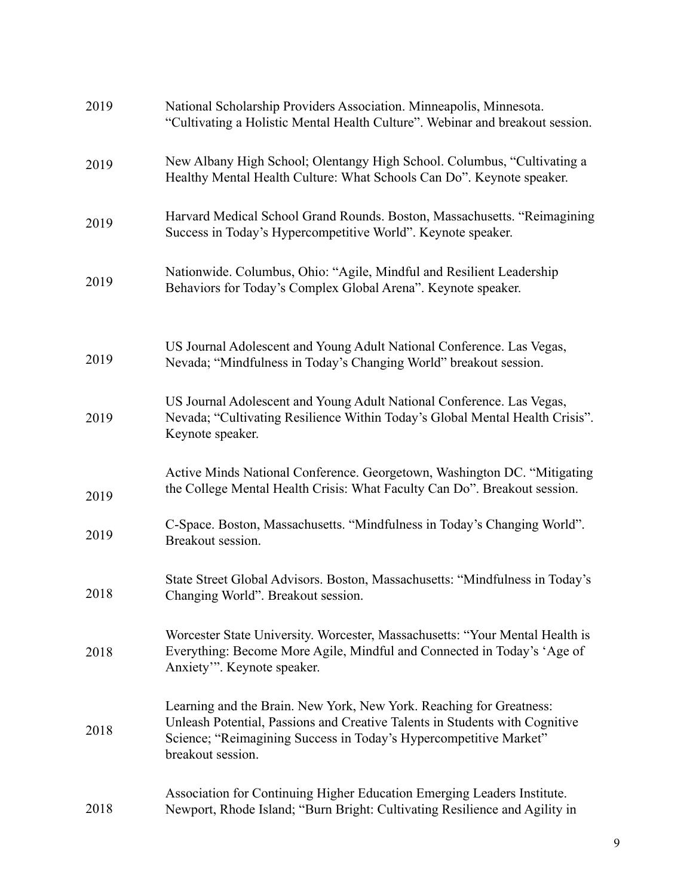| 2019 | National Scholarship Providers Association. Minneapolis, Minnesota.<br>"Cultivating a Holistic Mental Health Culture". Webinar and breakout session.                                                                                         |
|------|----------------------------------------------------------------------------------------------------------------------------------------------------------------------------------------------------------------------------------------------|
| 2019 | New Albany High School; Olentangy High School. Columbus, "Cultivating a<br>Healthy Mental Health Culture: What Schools Can Do". Keynote speaker.                                                                                             |
| 2019 | Harvard Medical School Grand Rounds. Boston, Massachusetts. "Reimagining<br>Success in Today's Hypercompetitive World". Keynote speaker.                                                                                                     |
| 2019 | Nationwide. Columbus, Ohio: "Agile, Mindful and Resilient Leadership<br>Behaviors for Today's Complex Global Arena". Keynote speaker.                                                                                                        |
| 2019 | US Journal Adolescent and Young Adult National Conference. Las Vegas,<br>Nevada; "Mindfulness in Today's Changing World" breakout session.                                                                                                   |
| 2019 | US Journal Adolescent and Young Adult National Conference. Las Vegas,<br>Nevada; "Cultivating Resilience Within Today's Global Mental Health Crisis".<br>Keynote speaker.                                                                    |
| 2019 | Active Minds National Conference. Georgetown, Washington DC. "Mitigating<br>the College Mental Health Crisis: What Faculty Can Do". Breakout session.                                                                                        |
| 2019 | C-Space. Boston, Massachusetts. "Mindfulness in Today's Changing World".<br>Breakout session.                                                                                                                                                |
| 2018 | State Street Global Advisors. Boston, Massachusetts: "Mindfulness in Today's<br>Changing World". Breakout session.                                                                                                                           |
| 2018 | Worcester State University. Worcester, Massachusetts: "Your Mental Health is<br>Everything: Become More Agile, Mindful and Connected in Today's 'Age of<br>Anxiety"'. Keynote speaker.                                                       |
| 2018 | Learning and the Brain. New York, New York. Reaching for Greatness:<br>Unleash Potential, Passions and Creative Talents in Students with Cognitive<br>Science; "Reimagining Success in Today's Hypercompetitive Market"<br>breakout session. |
| 2018 | Association for Continuing Higher Education Emerging Leaders Institute.<br>Newport, Rhode Island; "Burn Bright: Cultivating Resilience and Agility in                                                                                        |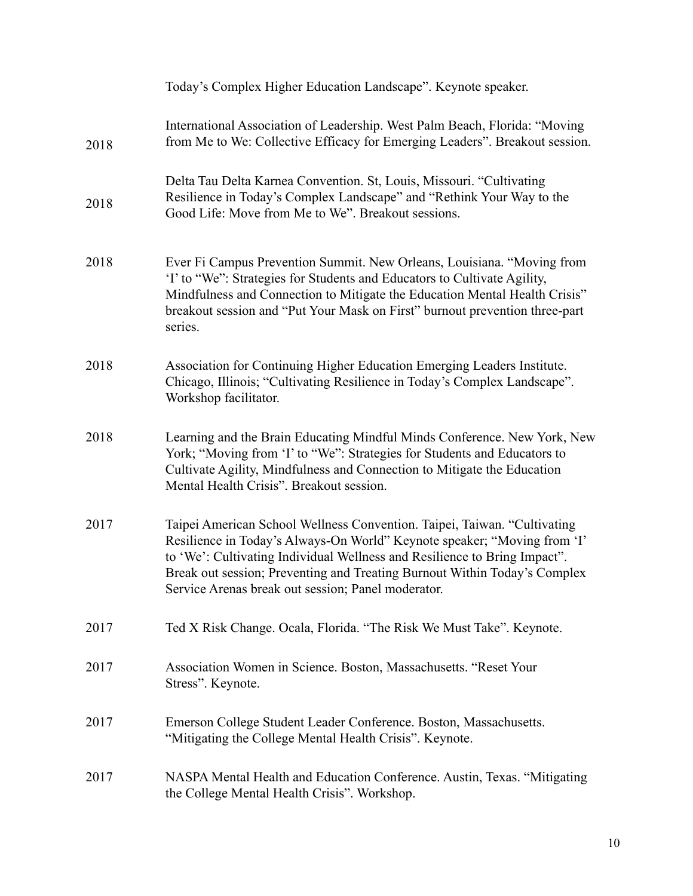|      | Today's Complex Higher Education Landscape". Keynote speaker.                                                                                                                                                                                                                                                                                                        |
|------|----------------------------------------------------------------------------------------------------------------------------------------------------------------------------------------------------------------------------------------------------------------------------------------------------------------------------------------------------------------------|
| 2018 | International Association of Leadership. West Palm Beach, Florida: "Moving<br>from Me to We: Collective Efficacy for Emerging Leaders". Breakout session.                                                                                                                                                                                                            |
| 2018 | Delta Tau Delta Karnea Convention. St, Louis, Missouri. "Cultivating<br>Resilience in Today's Complex Landscape" and "Rethink Your Way to the<br>Good Life: Move from Me to We". Breakout sessions.                                                                                                                                                                  |
| 2018 | Ever Fi Campus Prevention Summit. New Orleans, Louisiana. "Moving from<br>'I' to "We": Strategies for Students and Educators to Cultivate Agility,<br>Mindfulness and Connection to Mitigate the Education Mental Health Crisis"<br>breakout session and "Put Your Mask on First" burnout prevention three-part<br>series.                                           |
| 2018 | Association for Continuing Higher Education Emerging Leaders Institute.<br>Chicago, Illinois; "Cultivating Resilience in Today's Complex Landscape".<br>Workshop facilitator.                                                                                                                                                                                        |
| 2018 | Learning and the Brain Educating Mindful Minds Conference. New York, New<br>York; "Moving from 'I' to "We": Strategies for Students and Educators to<br>Cultivate Agility, Mindfulness and Connection to Mitigate the Education<br>Mental Health Crisis". Breakout session.                                                                                          |
| 2017 | Taipei American School Wellness Convention. Taipei, Taiwan. "Cultivating<br>Resilience in Today's Always-On World" Keynote speaker; "Moving from 'I'<br>to 'We': Cultivating Individual Wellness and Resilience to Bring Impact".<br>Break out session; Preventing and Treating Burnout Within Today's Complex<br>Service Arenas break out session; Panel moderator. |
| 2017 | Ted X Risk Change. Ocala, Florida. "The Risk We Must Take". Keynote.                                                                                                                                                                                                                                                                                                 |
| 2017 | Association Women in Science. Boston, Massachusetts. "Reset Your<br>Stress". Keynote.                                                                                                                                                                                                                                                                                |
| 2017 | Emerson College Student Leader Conference. Boston, Massachusetts.<br>"Mitigating the College Mental Health Crisis". Keynote.                                                                                                                                                                                                                                         |
| 2017 | NASPA Mental Health and Education Conference. Austin, Texas. "Mitigating<br>the College Mental Health Crisis". Workshop.                                                                                                                                                                                                                                             |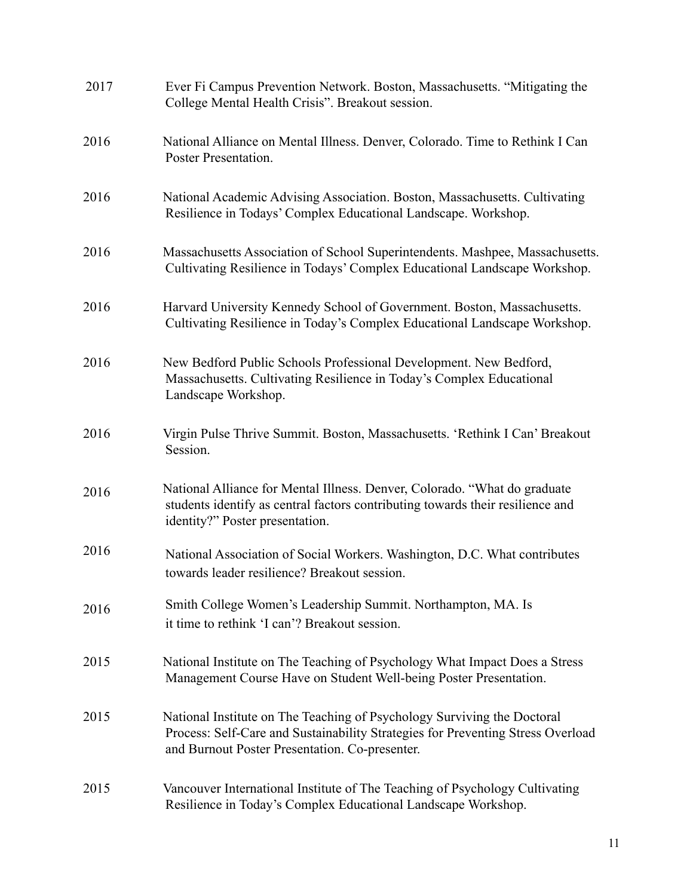| 2017 | Ever Fi Campus Prevention Network. Boston, Massachusetts. "Mitigating the<br>College Mental Health Crisis". Breakout session.                                                                                |
|------|--------------------------------------------------------------------------------------------------------------------------------------------------------------------------------------------------------------|
| 2016 | National Alliance on Mental Illness. Denver, Colorado. Time to Rethink I Can<br>Poster Presentation.                                                                                                         |
| 2016 | National Academic Advising Association. Boston, Massachusetts. Cultivating<br>Resilience in Todays' Complex Educational Landscape. Workshop.                                                                 |
| 2016 | Massachusetts Association of School Superintendents. Mashpee, Massachusetts.<br>Cultivating Resilience in Todays' Complex Educational Landscape Workshop.                                                    |
| 2016 | Harvard University Kennedy School of Government. Boston, Massachusetts.<br>Cultivating Resilience in Today's Complex Educational Landscape Workshop.                                                         |
| 2016 | New Bedford Public Schools Professional Development. New Bedford,<br>Massachusetts. Cultivating Resilience in Today's Complex Educational<br>Landscape Workshop.                                             |
| 2016 | Virgin Pulse Thrive Summit. Boston, Massachusetts. 'Rethink I Can' Breakout<br>Session.                                                                                                                      |
| 2016 | National Alliance for Mental Illness. Denver, Colorado. "What do graduate<br>students identify as central factors contributing towards their resilience and<br>identity?" Poster presentation.               |
| 2016 | National Association of Social Workers. Washington, D.C. What contributes<br>towards leader resilience? Breakout session.                                                                                    |
| 2016 | Smith College Women's Leadership Summit. Northampton, MA. Is<br>it time to rethink 'I can'? Breakout session.                                                                                                |
| 2015 | National Institute on The Teaching of Psychology What Impact Does a Stress<br>Management Course Have on Student Well-being Poster Presentation.                                                              |
| 2015 | National Institute on The Teaching of Psychology Surviving the Doctoral<br>Process: Self-Care and Sustainability Strategies for Preventing Stress Overload<br>and Burnout Poster Presentation. Co-presenter. |
| 2015 | Vancouver International Institute of The Teaching of Psychology Cultivating<br>Resilience in Today's Complex Educational Landscape Workshop.                                                                 |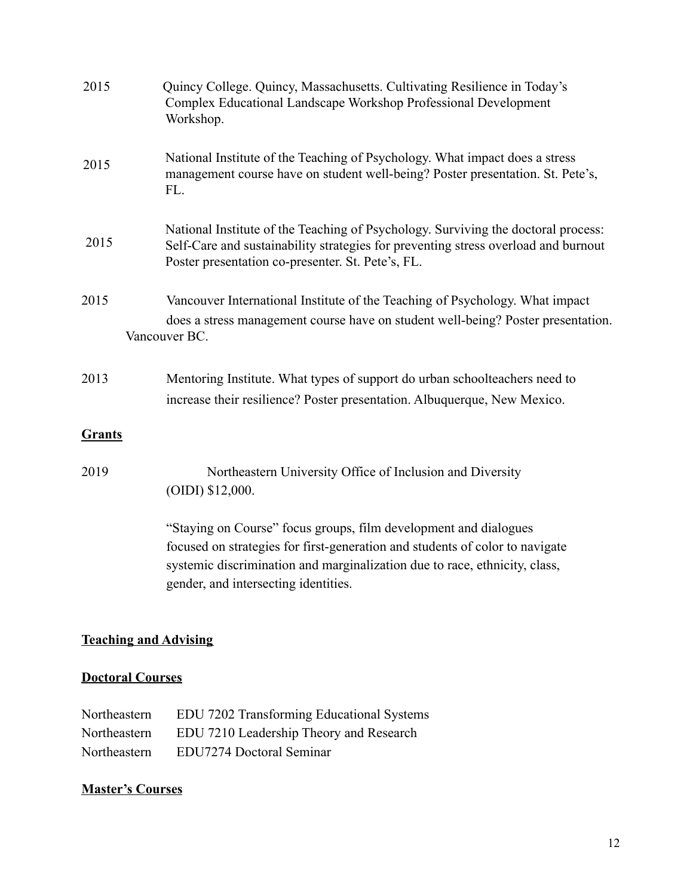| Quincy College. Quincy, Massachusetts. Cultivating Resilience in Today's<br>Complex Educational Landscape Workshop Professional Development<br>Workshop.                                                                                                               |
|------------------------------------------------------------------------------------------------------------------------------------------------------------------------------------------------------------------------------------------------------------------------|
| National Institute of the Teaching of Psychology. What impact does a stress<br>management course have on student well-being? Poster presentation. St. Pete's,<br>FL.                                                                                                   |
| National Institute of the Teaching of Psychology. Surviving the doctoral process:<br>Self-Care and sustainability strategies for preventing stress overload and burnout<br>Poster presentation co-presenter. St. Pete's, FL.                                           |
| Vancouver International Institute of the Teaching of Psychology. What impact<br>does a stress management course have on student well-being? Poster presentation.<br>Vancouver BC.                                                                                      |
| Mentoring Institute. What types of support do urban schoolteachers need to<br>increase their resilience? Poster presentation. Albuquerque, New Mexico.                                                                                                                 |
|                                                                                                                                                                                                                                                                        |
| Northeastern University Office of Inclusion and Diversity<br>(OIDI) \$12,000.                                                                                                                                                                                          |
| "Staying on Course" focus groups, film development and dialogues<br>focused on strategies for first-generation and students of color to navigate<br>systemic discrimination and marginalization due to race, ethnicity, class,<br>gender, and intersecting identities. |
|                                                                                                                                                                                                                                                                        |

# **Teaching and Advising**

# **Doctoral Courses**

| Northeastern | EDU 7202 Transforming Educational Systems |
|--------------|-------------------------------------------|
| Northeastern | EDU 7210 Leadership Theory and Research   |
| Northeastern | EDU7274 Doctoral Seminar                  |

# **Master's Courses**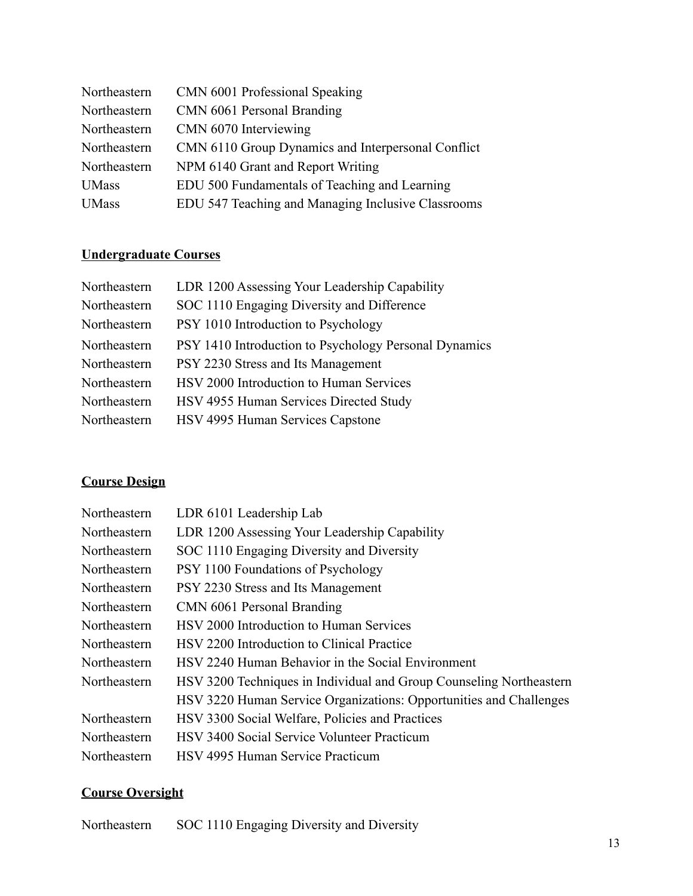| Northeastern | CMN 6001 Professional Speaking                     |
|--------------|----------------------------------------------------|
| Northeastern | CMN 6061 Personal Branding                         |
| Northeastern | CMN 6070 Interviewing                              |
| Northeastern | CMN 6110 Group Dynamics and Interpersonal Conflict |
| Northeastern | NPM 6140 Grant and Report Writing                  |
| <b>UMass</b> | EDU 500 Fundamentals of Teaching and Learning      |
| <b>UMass</b> | EDU 547 Teaching and Managing Inclusive Classrooms |

# **Undergraduate Courses**

| Northeastern | LDR 1200 Assessing Your Leadership Capability         |
|--------------|-------------------------------------------------------|
| Northeastern | SOC 1110 Engaging Diversity and Difference            |
| Northeastern | PSY 1010 Introduction to Psychology                   |
| Northeastern | PSY 1410 Introduction to Psychology Personal Dynamics |
| Northeastern | PSY 2230 Stress and Its Management                    |
| Northeastern | HSV 2000 Introduction to Human Services               |
| Northeastern | HSV 4955 Human Services Directed Study                |
| Northeastern | HSV 4995 Human Services Capstone                      |

# **Course Design**

| Northeastern | LDR 6101 Leadership Lab                                             |
|--------------|---------------------------------------------------------------------|
| Northeastern | LDR 1200 Assessing Your Leadership Capability                       |
| Northeastern | SOC 1110 Engaging Diversity and Diversity                           |
| Northeastern | PSY 1100 Foundations of Psychology                                  |
| Northeastern | PSY 2230 Stress and Its Management                                  |
| Northeastern | CMN 6061 Personal Branding                                          |
| Northeastern | HSV 2000 Introduction to Human Services                             |
| Northeastern | HSV 2200 Introduction to Clinical Practice                          |
| Northeastern | HSV 2240 Human Behavior in the Social Environment                   |
| Northeastern | HSV 3200 Techniques in Individual and Group Counseling Northeastern |
|              | HSV 3220 Human Service Organizations: Opportunities and Challenges  |
| Northeastern | HSV 3300 Social Welfare, Policies and Practices                     |
| Northeastern | HSV 3400 Social Service Volunteer Practicum                         |
| Northeastern | HSV 4995 Human Service Practicum                                    |

# **Course Oversight**

Northeastern SOC 1110 Engaging Diversity and Diversity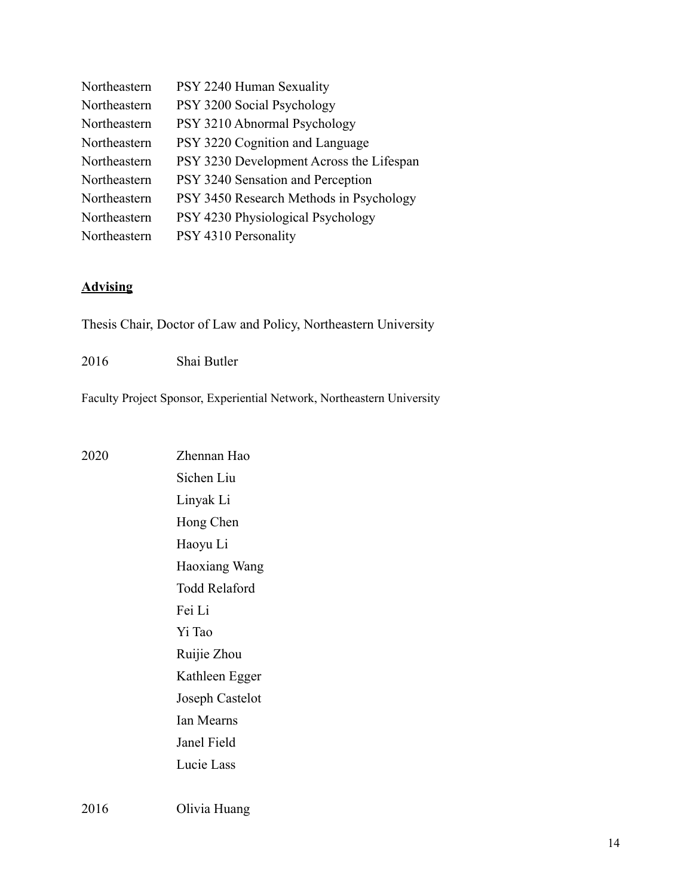| Northeastern | PSY 2240 Human Sexuality                 |
|--------------|------------------------------------------|
| Northeastern | PSY 3200 Social Psychology               |
| Northeastern | PSY 3210 Abnormal Psychology             |
| Northeastern | PSY 3220 Cognition and Language          |
| Northeastern | PSY 3230 Development Across the Lifespan |
| Northeastern | PSY 3240 Sensation and Perception        |
| Northeastern | PSY 3450 Research Methods in Psychology  |
| Northeastern | PSY 4230 Physiological Psychology        |
| Northeastern | PSY 4310 Personality                     |

#### **Advising**

Thesis Chair, Doctor of Law and Policy, Northeastern University

2016 Shai Butler

Faculty Project Sponsor, Experiential Network, Northeastern University

2020 Zhennan Hao Sichen Liu Linyak Li Hong Chen Haoyu Li Haoxiang Wang Todd Relaford Fei Li Yi Tao Ruijie Zhou Kathleen Egger Joseph Castelot Ian Mearns Janel Field Lucie Lass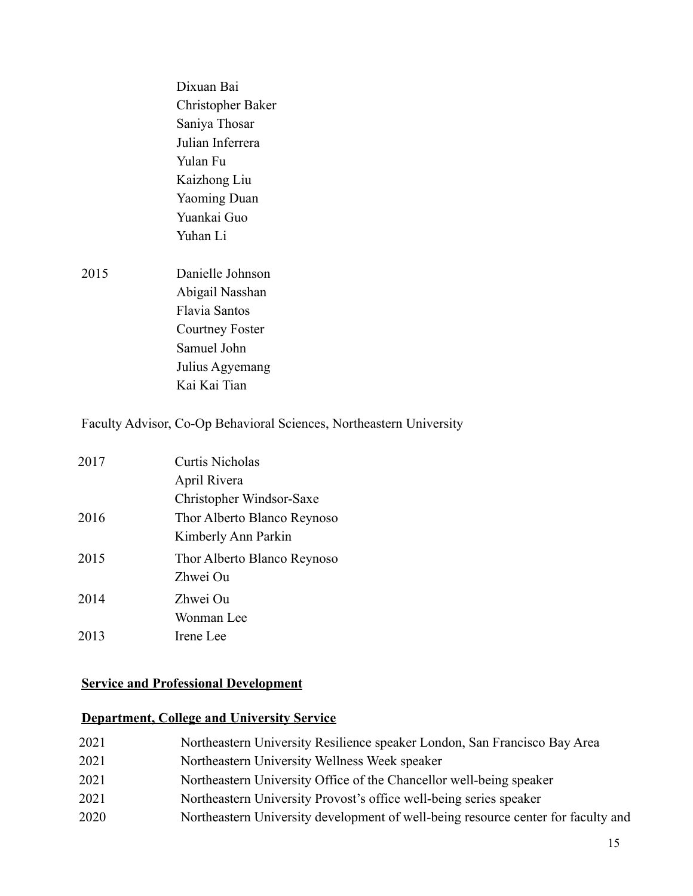|      | Dixuan Bai             |
|------|------------------------|
|      | Christopher Baker      |
|      | Saniya Thosar          |
|      | Julian Inferrera       |
|      | Yulan Fu               |
|      | Kaizhong Liu           |
|      | <b>Yaoming Duan</b>    |
|      | Yuankai Guo            |
|      | Yuhan Li               |
|      |                        |
| 2015 | Danielle Johnson       |
|      | Abigail Nasshan        |
|      | <b>Flavia Santos</b>   |
|      | <b>Courtney Foster</b> |
|      | Samuel John            |
|      | Julius Agyemang        |
|      | Kai Kai Tian           |
|      |                        |

Faculty Advisor, Co-Op Behavioral Sciences, Northeastern University

| 2017 | <b>Curtis Nicholas</b>      |
|------|-----------------------------|
|      | April Rivera                |
|      | Christopher Windsor-Saxe    |
| 2016 | Thor Alberto Blanco Reynoso |
|      | Kimberly Ann Parkin         |
| 2015 | Thor Alberto Blanco Reynoso |
|      | Zhwei Ou                    |
| 2014 | Zhwei Ou                    |
|      | Wonman Lee                  |
| 2013 | Irene Lee                   |

# **Service and Professional Development**

# **Department, College and University Service**

| 2021 | Northeastern University Resilience speaker London, San Francisco Bay Area |
|------|---------------------------------------------------------------------------|
| 2021 | Northeastern University Wellness Week speaker                             |
| 2021 | Northeastern University Office of the Chancellor well-being speaker       |
| 2021 | Northeastern University Provost's office well-being series speaker        |

2020 Northeastern University development of well-being resource center for faculty and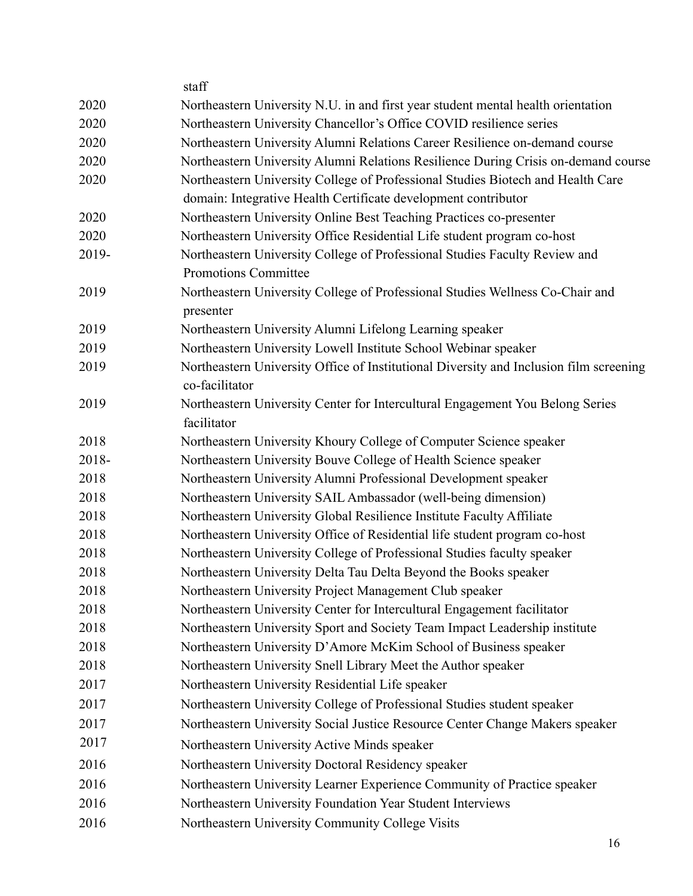|       | staff                                                                                                     |
|-------|-----------------------------------------------------------------------------------------------------------|
| 2020  | Northeastern University N.U. in and first year student mental health orientation                          |
| 2020  | Northeastern University Chancellor's Office COVID resilience series                                       |
| 2020  | Northeastern University Alumni Relations Career Resilience on-demand course                               |
| 2020  | Northeastern University Alumni Relations Resilience During Crisis on-demand course                        |
| 2020  | Northeastern University College of Professional Studies Biotech and Health Care                           |
|       | domain: Integrative Health Certificate development contributor                                            |
| 2020  | Northeastern University Online Best Teaching Practices co-presenter                                       |
| 2020  | Northeastern University Office Residential Life student program co-host                                   |
| 2019- | Northeastern University College of Professional Studies Faculty Review and<br><b>Promotions Committee</b> |
| 2019  | Northeastern University College of Professional Studies Wellness Co-Chair and<br>presenter                |
| 2019  | Northeastern University Alumni Lifelong Learning speaker                                                  |
| 2019  | Northeastern University Lowell Institute School Webinar speaker                                           |
| 2019  | Northeastern University Office of Institutional Diversity and Inclusion film screening<br>co-facilitator  |
| 2019  | Northeastern University Center for Intercultural Engagement You Belong Series<br>facilitator              |
| 2018  | Northeastern University Khoury College of Computer Science speaker                                        |
| 2018- | Northeastern University Bouve College of Health Science speaker                                           |
| 2018  | Northeastern University Alumni Professional Development speaker                                           |
| 2018  | Northeastern University SAIL Ambassador (well-being dimension)                                            |
| 2018  | Northeastern University Global Resilience Institute Faculty Affiliate                                     |
| 2018  | Northeastern University Office of Residential life student program co-host                                |
| 2018  | Northeastern University College of Professional Studies faculty speaker                                   |
| 2018  | Northeastern University Delta Tau Delta Beyond the Books speaker                                          |
| 2018  | Northeastern University Project Management Club speaker                                                   |
| 2018  | Northeastern University Center for Intercultural Engagement facilitator                                   |
| 2018  | Northeastern University Sport and Society Team Impact Leadership institute                                |
| 2018  | Northeastern University D'Amore McKim School of Business speaker                                          |
| 2018  | Northeastern University Snell Library Meet the Author speaker                                             |
| 2017  | Northeastern University Residential Life speaker                                                          |
| 2017  | Northeastern University College of Professional Studies student speaker                                   |
| 2017  | Northeastern University Social Justice Resource Center Change Makers speaker                              |
| 2017  | Northeastern University Active Minds speaker                                                              |
| 2016  | Northeastern University Doctoral Residency speaker                                                        |
| 2016  | Northeastern University Learner Experience Community of Practice speaker                                  |
| 2016  | Northeastern University Foundation Year Student Interviews                                                |
| 2016  | Northeastern University Community College Visits                                                          |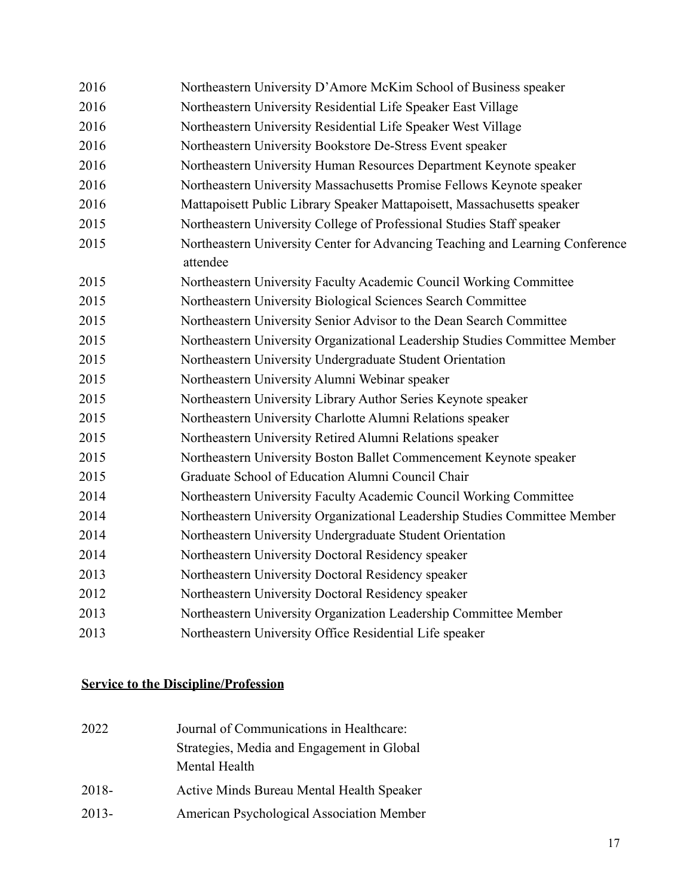| 2016 | Northeastern University D'Amore McKim School of Business speaker                          |
|------|-------------------------------------------------------------------------------------------|
| 2016 | Northeastern University Residential Life Speaker East Village                             |
| 2016 | Northeastern University Residential Life Speaker West Village                             |
| 2016 | Northeastern University Bookstore De-Stress Event speaker                                 |
| 2016 | Northeastern University Human Resources Department Keynote speaker                        |
| 2016 | Northeastern University Massachusetts Promise Fellows Keynote speaker                     |
| 2016 | Mattapoisett Public Library Speaker Mattapoisett, Massachusetts speaker                   |
| 2015 | Northeastern University College of Professional Studies Staff speaker                     |
| 2015 | Northeastern University Center for Advancing Teaching and Learning Conference<br>attendee |
| 2015 | Northeastern University Faculty Academic Council Working Committee                        |
| 2015 | Northeastern University Biological Sciences Search Committee                              |
| 2015 | Northeastern University Senior Advisor to the Dean Search Committee                       |
| 2015 | Northeastern University Organizational Leadership Studies Committee Member                |
| 2015 | Northeastern University Undergraduate Student Orientation                                 |
| 2015 | Northeastern University Alumni Webinar speaker                                            |
| 2015 | Northeastern University Library Author Series Keynote speaker                             |
| 2015 | Northeastern University Charlotte Alumni Relations speaker                                |
| 2015 | Northeastern University Retired Alumni Relations speaker                                  |
| 2015 | Northeastern University Boston Ballet Commencement Keynote speaker                        |
| 2015 | Graduate School of Education Alumni Council Chair                                         |
| 2014 | Northeastern University Faculty Academic Council Working Committee                        |
| 2014 | Northeastern University Organizational Leadership Studies Committee Member                |
| 2014 | Northeastern University Undergraduate Student Orientation                                 |
| 2014 | Northeastern University Doctoral Residency speaker                                        |
| 2013 | Northeastern University Doctoral Residency speaker                                        |
| 2012 | Northeastern University Doctoral Residency speaker                                        |
| 2013 | Northeastern University Organization Leadership Committee Member                          |
| 2013 | Northeastern University Office Residential Life speaker                                   |

# **Service to the Discipline/Profession**

| 2022     | Journal of Communications in Healthcare:         |
|----------|--------------------------------------------------|
|          | Strategies, Media and Engagement in Global       |
|          | Mental Health                                    |
| 2018-    | <b>Active Minds Bureau Mental Health Speaker</b> |
| $2013 -$ | American Psychological Association Member        |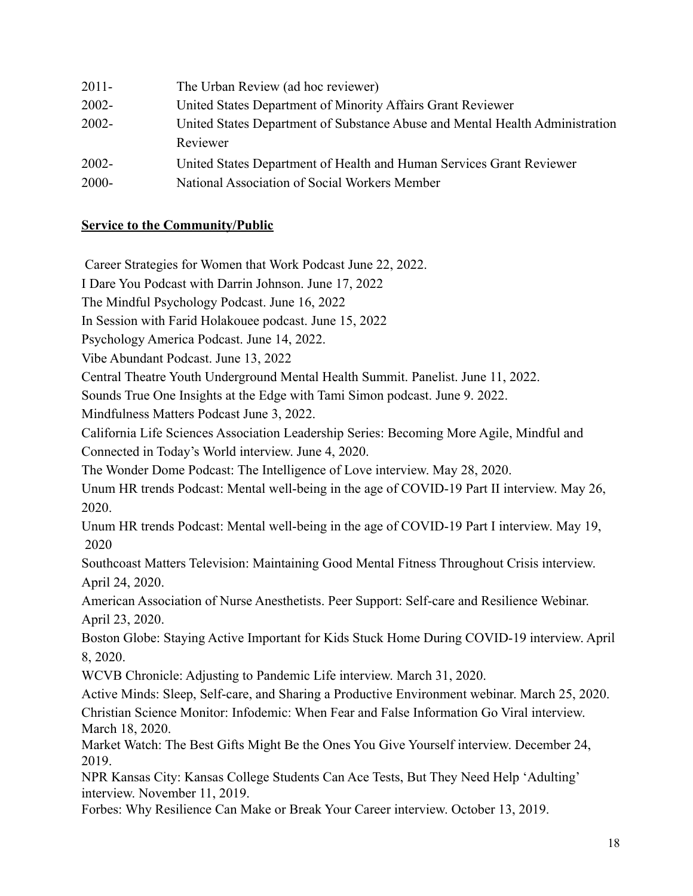| $2011 -$ | The Urban Review (ad hoc reviewer)                                           |
|----------|------------------------------------------------------------------------------|
| $2002 -$ | United States Department of Minority Affairs Grant Reviewer                  |
| $2002 -$ | United States Department of Substance Abuse and Mental Health Administration |
|          | Reviewer                                                                     |
| $2002 -$ | United States Department of Health and Human Services Grant Reviewer         |
| $2000 -$ | National Association of Social Workers Member                                |
|          |                                                                              |

#### **Service to the Community/Public**

Career Strategies for Women that Work Podcast June 22, 2022.

I Dare You Podcast with Darrin Johnson. June 17, 2022

The Mindful Psychology Podcast. June 16, 2022

In Session with Farid Holakouee podcast. June 15, 2022

Psychology America Podcast. June 14, 2022.

Vibe Abundant Podcast. June 13, 2022

Central Theatre Youth Underground Mental Health Summit. Panelist. June 11, 2022.

Sounds True One Insights at the Edge with Tami Simon podcast. June 9. 2022.

Mindfulness Matters Podcast June 3, 2022.

California Life Sciences Association Leadership Series: Becoming More Agile, Mindful and Connected in Today's World interview. June 4, 2020.

The Wonder Dome Podcast: The Intelligence of Love interview. May 28, 2020.

Unum HR trends Podcast: Mental well-being in the age of COVID-19 Part II interview. May 26, 2020.

Unum HR trends Podcast: Mental well-being in the age of COVID-19 Part I interview. May 19, 2020

Southcoast Matters Television: Maintaining Good Mental Fitness Throughout Crisis interview. April 24, 2020.

American Association of Nurse Anesthetists. Peer Support: Self-care and Resilience Webinar. April 23, 2020.

Boston Globe: Staying Active Important for Kids Stuck Home During COVID-19 interview. April 8, 2020.

WCVB Chronicle: Adjusting to Pandemic Life interview. March 31, 2020.

Active Minds: Sleep, Self-care, and Sharing a Productive Environment webinar. March 25, 2020.

Christian Science Monitor: Infodemic: When Fear and False Information Go Viral interview. March 18, 2020.

Market Watch: The Best Gifts Might Be the Ones You Give Yourself interview. December 24, 2019.

NPR Kansas City: Kansas College Students Can Ace Tests, But They Need Help 'Adulting' interview. November 11, 2019.

Forbes: Why Resilience Can Make or Break Your Career interview. October 13, 2019.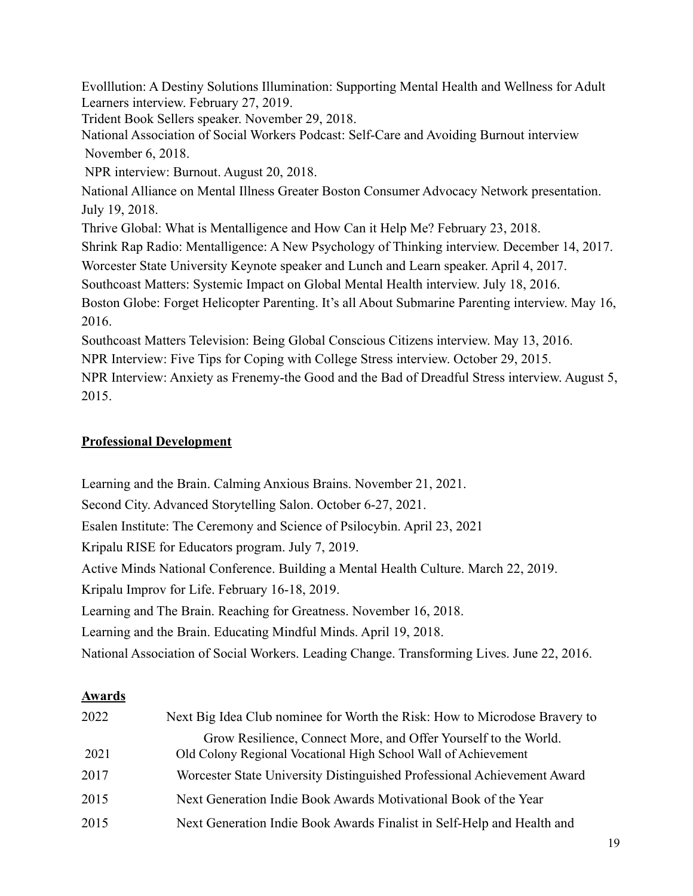Evolllution: A Destiny Solutions Illumination: Supporting Mental Health and Wellness for Adult Learners interview. February 27, 2019.

Trident Book Sellers speaker. November 29, 2018.

National Association of Social Workers Podcast: Self-Care and Avoiding Burnout interview November 6, 2018.

NPR interview: Burnout. August 20, 2018.

National Alliance on Mental Illness Greater Boston Consumer Advocacy Network presentation. July 19, 2018.

Thrive Global: What is Mentalligence and How Can it Help Me? February 23, 2018.

Shrink Rap Radio: Mentalligence: A New Psychology of Thinking interview. December 14, 2017.

Worcester State University Keynote speaker and Lunch and Learn speaker. April 4, 2017.

Southcoast Matters: Systemic Impact on Global Mental Health interview. July 18, 2016.

Boston Globe: Forget Helicopter Parenting. It's all About Submarine Parenting interview. May 16, 2016.

Southcoast Matters Television: Being Global Conscious Citizens interview. May 13, 2016.

NPR Interview: Five Tips for Coping with College Stress interview. October 29, 2015.

NPR Interview: Anxiety as Frenemy-the Good and the Bad of Dreadful Stress interview. August 5, 2015.

#### **Professional Development**

Learning and the Brain. Calming Anxious Brains. November 21, 2021. Second City. Advanced Storytelling Salon. October 6-27, 2021. Esalen Institute: The Ceremony and Science of Psilocybin. April 23, 2021 Kripalu RISE for Educators program. July 7, 2019. Active Minds National Conference. Building a Mental Health Culture. March 22, 2019. Kripalu Improv for Life. February 16-18, 2019. Learning and The Brain. Reaching for Greatness. November 16, 2018. Learning and the Brain. Educating Mindful Minds. April 19, 2018. National Association of Social Workers. Leading Change. Transforming Lives. June 22, 2016.

#### **Awards**

| 2022 | Next Big Idea Club nominee for Worth the Risk: How to Microdose Bravery to                                                        |
|------|-----------------------------------------------------------------------------------------------------------------------------------|
| 2021 | Grow Resilience, Connect More, and Offer Yourself to the World.<br>Old Colony Regional Vocational High School Wall of Achievement |
| 2017 | Worcester State University Distinguished Professional Achievement Award                                                           |
| 2015 | Next Generation Indie Book Awards Motivational Book of the Year                                                                   |
| 2015 | Next Generation Indie Book Awards Finalist in Self-Help and Health and                                                            |